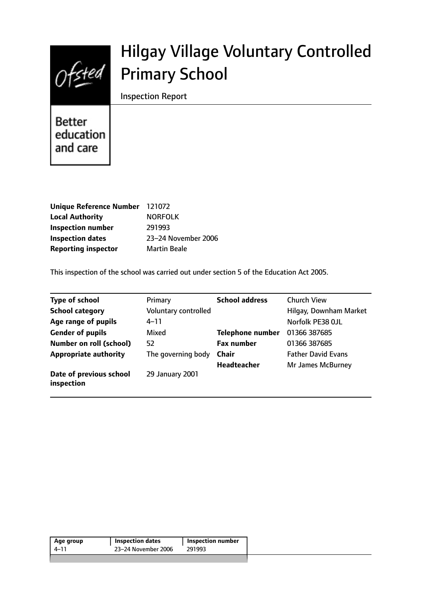

# Hilgay Village Voluntary Controlled Primary School

Inspection Report

**Better** education and care

| Unique Reference Number 121072 |                     |
|--------------------------------|---------------------|
| <b>Local Authority</b>         | <b>NORFOLK</b>      |
| <b>Inspection number</b>       | 291993              |
| <b>Inspection dates</b>        | 23-24 November 2006 |
| <b>Reporting inspector</b>     | <b>Martin Beale</b> |

This inspection of the school was carried out under section 5 of the Education Act 2005.

| <b>Type of school</b>                 | Primary              | <b>School address</b>   | <b>Church View</b>        |
|---------------------------------------|----------------------|-------------------------|---------------------------|
| <b>School category</b>                | Voluntary controlled |                         | Hilgay, Downham Market    |
| Age range of pupils                   | $4 - 11$             |                         | Norfolk PE38 OJL          |
| <b>Gender of pupils</b>               | Mixed                | <b>Telephone number</b> | 01366 387685              |
| <b>Number on roll (school)</b>        | 52                   | <b>Fax number</b>       | 01366 387685              |
| <b>Appropriate authority</b>          | The governing body   | <b>Chair</b>            | <b>Father David Evans</b> |
|                                       |                      | <b>Headteacher</b>      | Mr James McBurney         |
| Date of previous school<br>inspection | 29 January 2001      |                         |                           |

| Age group | <b>Inspection dates</b> | <b>Inspection number</b> |
|-----------|-------------------------|--------------------------|
| 4–11      | 23-24 November 2006     | 291993                   |
|           |                         |                          |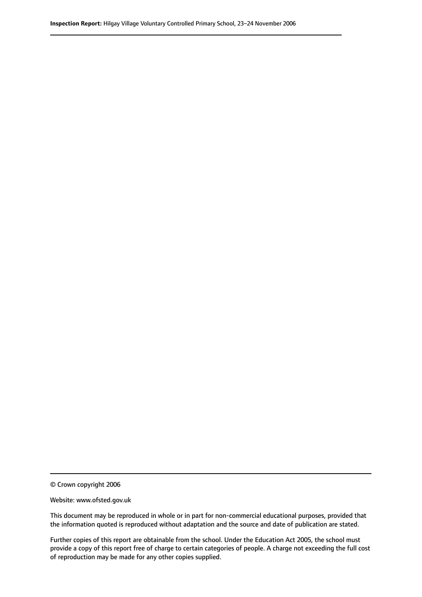© Crown copyright 2006

Website: www.ofsted.gov.uk

This document may be reproduced in whole or in part for non-commercial educational purposes, provided that the information quoted is reproduced without adaptation and the source and date of publication are stated.

Further copies of this report are obtainable from the school. Under the Education Act 2005, the school must provide a copy of this report free of charge to certain categories of people. A charge not exceeding the full cost of reproduction may be made for any other copies supplied.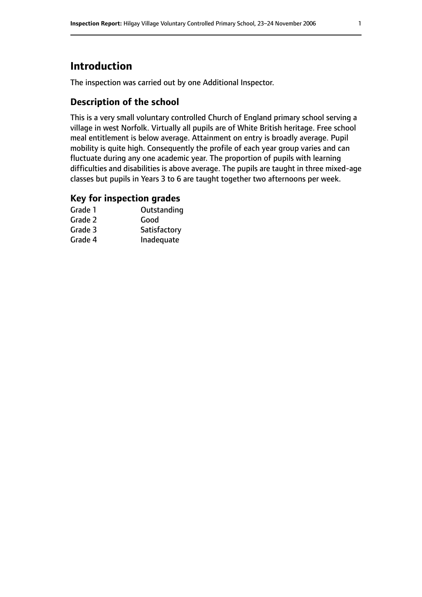## **Introduction**

The inspection was carried out by one Additional Inspector.

## **Description of the school**

This is a very small voluntary controlled Church of England primary school serving a village in west Norfolk. Virtually all pupils are of White British heritage. Free school meal entitlement is below average. Attainment on entry is broadly average. Pupil mobility is quite high. Consequently the profile of each year group varies and can fluctuate during any one academic year. The proportion of pupils with learning difficulties and disabilities is above average. The pupils are taught in three mixed-age classes but pupils in Years 3 to 6 are taught together two afternoons per week.

### **Key for inspection grades**

| Grade 1 | Outstanding  |
|---------|--------------|
| Grade 2 | Good         |
| Grade 3 | Satisfactory |
| Grade 4 | Inadequate   |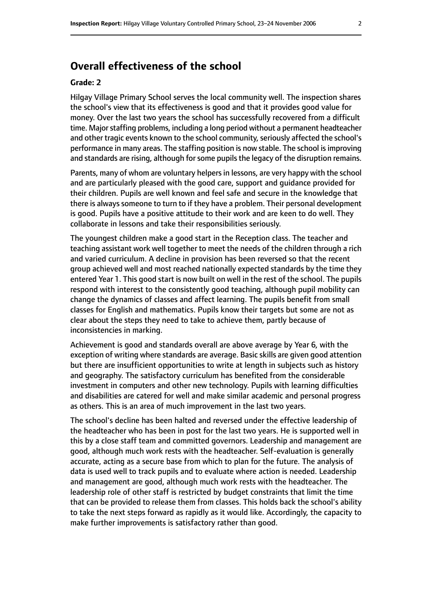## **Overall effectiveness of the school**

#### **Grade: 2**

Hilgay Village Primary School serves the local community well. The inspection shares the school's view that its effectiveness is good and that it provides good value for money. Over the last two years the school has successfully recovered from a difficult time. Major staffing problems, including a long period without a permanent headteacher and other tragic events known to the school community, seriously affected the school's performance in many areas. The staffing position is now stable. The school is improving and standards are rising, although for some pupils the legacy of the disruption remains.

Parents, many of whom are voluntary helpers in lessons, are very happy with the school and are particularly pleased with the good care, support and guidance provided for their children. Pupils are well known and feel safe and secure in the knowledge that there is always someone to turn to if they have a problem. Their personal development is good. Pupils have a positive attitude to their work and are keen to do well. They collaborate in lessons and take their responsibilities seriously.

The youngest children make a good start in the Reception class. The teacher and teaching assistant work well together to meet the needs of the children through a rich and varied curriculum. A decline in provision has been reversed so that the recent group achieved well and most reached nationally expected standards by the time they entered Year 1. This good start is now built on well in the rest of the school. The pupils respond with interest to the consistently good teaching, although pupil mobility can change the dynamics of classes and affect learning. The pupils benefit from small classes for English and mathematics. Pupils know their targets but some are not as clear about the steps they need to take to achieve them, partly because of inconsistencies in marking.

Achievement is good and standards overall are above average by Year 6, with the exception of writing where standards are average. Basic skills are given good attention but there are insufficient opportunities to write at length in subjects such as history and geography. The satisfactory curriculum has benefited from the considerable investment in computers and other new technology. Pupils with learning difficulties and disabilities are catered for well and make similar academic and personal progress as others. This is an area of much improvement in the last two years.

The school's decline has been halted and reversed under the effective leadership of the headteacher who has been in post for the last two years. He is supported well in this by a close staff team and committed governors. Leadership and management are good, although much work rests with the headteacher. Self-evaluation is generally accurate, acting as a secure base from which to plan for the future. The analysis of data is used well to track pupils and to evaluate where action is needed. Leadership and management are good, although much work rests with the headteacher. The leadership role of other staff is restricted by budget constraints that limit the time that can be provided to release them from classes. This holds back the school's ability to take the next steps forward as rapidly as it would like. Accordingly, the capacity to make further improvements is satisfactory rather than good.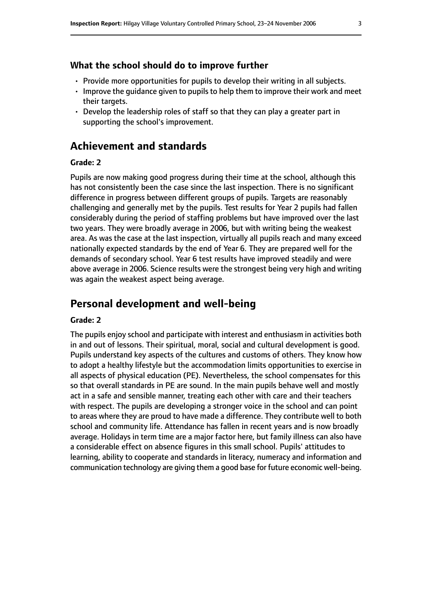## **What the school should do to improve further**

- Provide more opportunities for pupils to develop their writing in all subjects.
- Improve the guidance given to pupils to help them to improve their work and meet their targets.
- Develop the leadership roles of staff so that they can play a greater part in supporting the school's improvement.

## **Achievement and standards**

#### **Grade: 2**

Pupils are now making good progress during their time at the school, although this has not consistently been the case since the last inspection. There is no significant difference in progress between different groups of pupils. Targets are reasonably challenging and generally met by the pupils. Test results for Year 2 pupils had fallen considerably during the period of staffing problems but have improved over the last two years. They were broadly average in 2006, but with writing being the weakest area. As was the case at the last inspection, virtually all pupils reach and many exceed nationally expected standards by the end of Year 6. They are prepared well for the demands of secondary school. Year 6 test results have improved steadily and were above average in 2006. Science results were the strongest being very high and writing was again the weakest aspect being average.

## **Personal development and well-being**

#### **Grade: 2**

The pupils enjoy school and participate with interest and enthusiasm in activities both in and out of lessons. Their spiritual, moral, social and cultural development is good. Pupils understand key aspects of the cultures and customs of others. They know how to adopt a healthy lifestyle but the accommodation limits opportunities to exercise in all aspects of physical education (PE). Nevertheless, the school compensates for this so that overall standards in PE are sound. In the main pupils behave well and mostly act in a safe and sensible manner, treating each other with care and their teachers with respect. The pupils are developing a stronger voice in the school and can point to areas where they are proud to have made a difference. They contribute well to both school and community life. Attendance has fallen in recent years and is now broadly average. Holidays in term time are a major factor here, but family illness can also have a considerable effect on absence figures in this small school. Pupils' attitudes to learning, ability to cooperate and standards in literacy, numeracy and information and communication technology are giving them a good base for future economic well-being.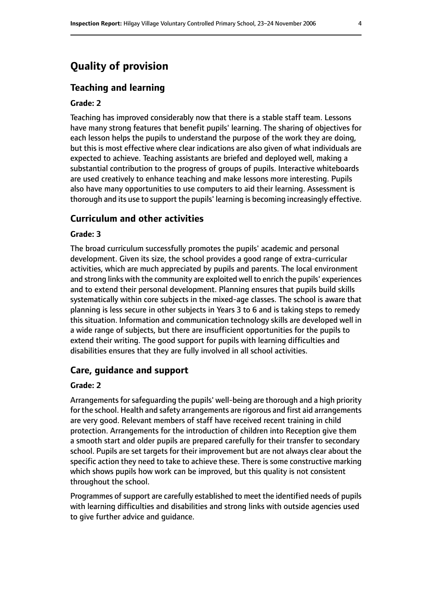## **Quality of provision**

#### **Teaching and learning**

#### **Grade: 2**

Teaching has improved considerably now that there is a stable staff team. Lessons have many strong features that benefit pupils' learning. The sharing of objectives for each lesson helps the pupils to understand the purpose of the work they are doing, but this is most effective where clear indications are also given of what individuals are expected to achieve. Teaching assistants are briefed and deployed well, making a substantial contribution to the progress of groups of pupils. Interactive whiteboards are used creatively to enhance teaching and make lessons more interesting. Pupils also have many opportunities to use computers to aid their learning. Assessment is thorough and its use to support the pupils' learning is becoming increasingly effective.

#### **Curriculum and other activities**

#### **Grade: 3**

The broad curriculum successfully promotes the pupils' academic and personal development. Given its size, the school provides a good range of extra-curricular activities, which are much appreciated by pupils and parents. The local environment and strong links with the community are exploited well to enrich the pupils' experiences and to extend their personal development. Planning ensures that pupils build skills systematically within core subjects in the mixed-age classes. The school is aware that planning is less secure in other subjects in Years 3 to 6 and is taking steps to remedy this situation. Information and communication technology skills are developed well in a wide range of subjects, but there are insufficient opportunities for the pupils to extend their writing. The good support for pupils with learning difficulties and disabilities ensures that they are fully involved in all school activities.

#### **Care, guidance and support**

#### **Grade: 2**

Arrangements for safeguarding the pupils' well-being are thorough and a high priority for the school. Health and safety arrangements are rigorous and first aid arrangements are very good. Relevant members of staff have received recent training in child protection. Arrangements for the introduction of children into Reception give them a smooth start and older pupils are prepared carefully for their transfer to secondary school. Pupils are set targets for their improvement but are not always clear about the specific action they need to take to achieve these. There is some constructive marking which shows pupils how work can be improved, but this quality is not consistent throughout the school.

Programmes of support are carefully established to meet the identified needs of pupils with learning difficulties and disabilities and strong links with outside agencies used to give further advice and guidance.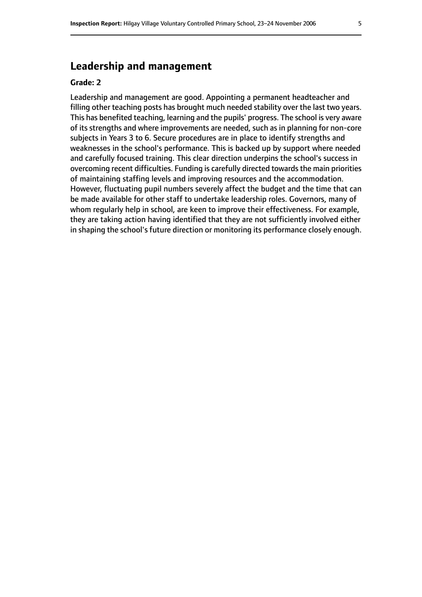## **Leadership and management**

#### **Grade: 2**

Leadership and management are good. Appointing a permanent headteacher and filling other teaching posts has brought much needed stability over the last two years. This has benefited teaching, learning and the pupils' progress. The school is very aware of its strengths and where improvements are needed, such as in planning for non-core subjects in Years 3 to 6. Secure procedures are in place to identify strengths and weaknesses in the school's performance. This is backed up by support where needed and carefully focused training. This clear direction underpins the school's success in overcoming recent difficulties. Funding is carefully directed towards the main priorities of maintaining staffing levels and improving resources and the accommodation. However, fluctuating pupil numbers severely affect the budget and the time that can be made available for other staff to undertake leadership roles. Governors, many of whom regularly help in school, are keen to improve their effectiveness. For example, they are taking action having identified that they are not sufficiently involved either in shaping the school's future direction or monitoring its performance closely enough.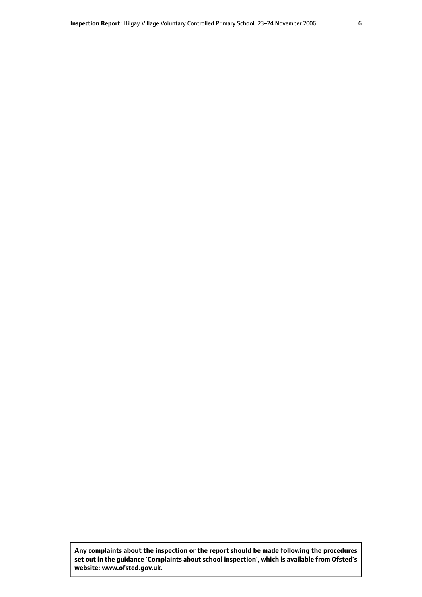**Any complaints about the inspection or the report should be made following the procedures set out inthe guidance 'Complaints about school inspection', whichis available from Ofsted's website: www.ofsted.gov.uk.**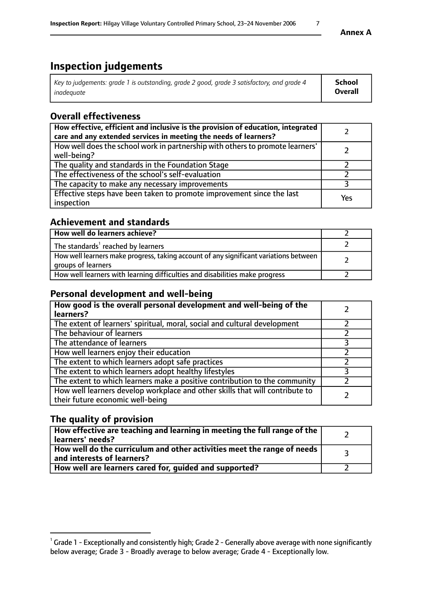# **Inspection judgements**

| Key to judgements: grade 1 is outstanding, grade 2 good, grade 3 satisfactory, and grade 4 | School         |
|--------------------------------------------------------------------------------------------|----------------|
| inadeauate                                                                                 | <b>Overall</b> |

## **Overall effectiveness**

| How effective, efficient and inclusive is the provision of education, integrated<br>care and any extended services in meeting the needs of learners? |     |
|------------------------------------------------------------------------------------------------------------------------------------------------------|-----|
| How well does the school work in partnership with others to promote learners'<br>well-being?                                                         |     |
| The quality and standards in the Foundation Stage                                                                                                    |     |
| The effectiveness of the school's self-evaluation                                                                                                    |     |
| The capacity to make any necessary improvements                                                                                                      |     |
| Effective steps have been taken to promote improvement since the last<br>inspection                                                                  | Yes |

## **Achievement and standards**

| How well do learners achieve?                                                                               |  |
|-------------------------------------------------------------------------------------------------------------|--|
| The standards <sup>1</sup> reached by learners                                                              |  |
| How well learners make progress, taking account of any significant variations between<br>groups of learners |  |
| How well learners with learning difficulties and disabilities make progress                                 |  |

## **Personal development and well-being**

| How good is the overall personal development and well-being of the<br>learners?                                  |  |
|------------------------------------------------------------------------------------------------------------------|--|
| The extent of learners' spiritual, moral, social and cultural development                                        |  |
| The behaviour of learners                                                                                        |  |
| The attendance of learners                                                                                       |  |
| How well learners enjoy their education                                                                          |  |
| The extent to which learners adopt safe practices                                                                |  |
| The extent to which learners adopt healthy lifestyles                                                            |  |
| The extent to which learners make a positive contribution to the community                                       |  |
| How well learners develop workplace and other skills that will contribute to<br>their future economic well-being |  |

## **The quality of provision**

| $\Box$ How effective are teaching and learning in meeting the full range of the $\Box$<br>  learners' needs?        |  |
|---------------------------------------------------------------------------------------------------------------------|--|
| $\mid$ How well do the curriculum and other activities meet the range of needs<br>$\mid$ and interests of learners? |  |
| How well are learners cared for, guided and supported?                                                              |  |

 $^1$  Grade 1 - Exceptionally and consistently high; Grade 2 - Generally above average with none significantly below average; Grade 3 - Broadly average to below average; Grade 4 - Exceptionally low.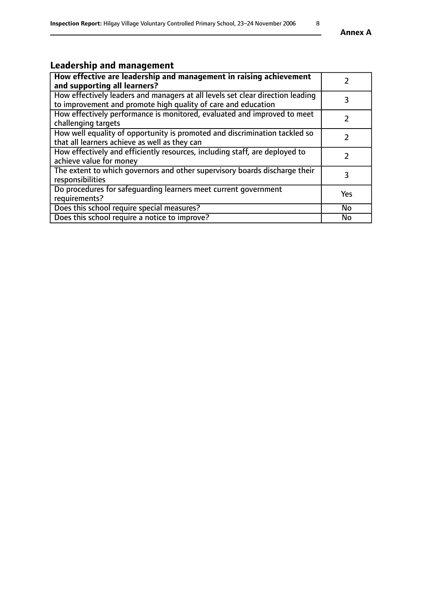# **Leadership and management**

| How effective are leadership and management in raising achievement<br>and supporting all learners?                                              |     |
|-------------------------------------------------------------------------------------------------------------------------------------------------|-----|
| How effectively leaders and managers at all levels set clear direction leading<br>to improvement and promote high quality of care and education |     |
| How effectively performance is monitored, evaluated and improved to meet<br>challenging targets                                                 |     |
| How well equality of opportunity is promoted and discrimination tackled so<br>that all learners achieve as well as they can                     |     |
| How effectively and efficiently resources, including staff, are deployed to<br>achieve value for money                                          |     |
| The extent to which governors and other supervisory boards discharge their<br>responsibilities                                                  |     |
| Do procedures for safequarding learners meet current government<br>requirements?                                                                | Yes |
| Does this school require special measures?                                                                                                      | No  |
| Does this school require a notice to improve?                                                                                                   | No  |